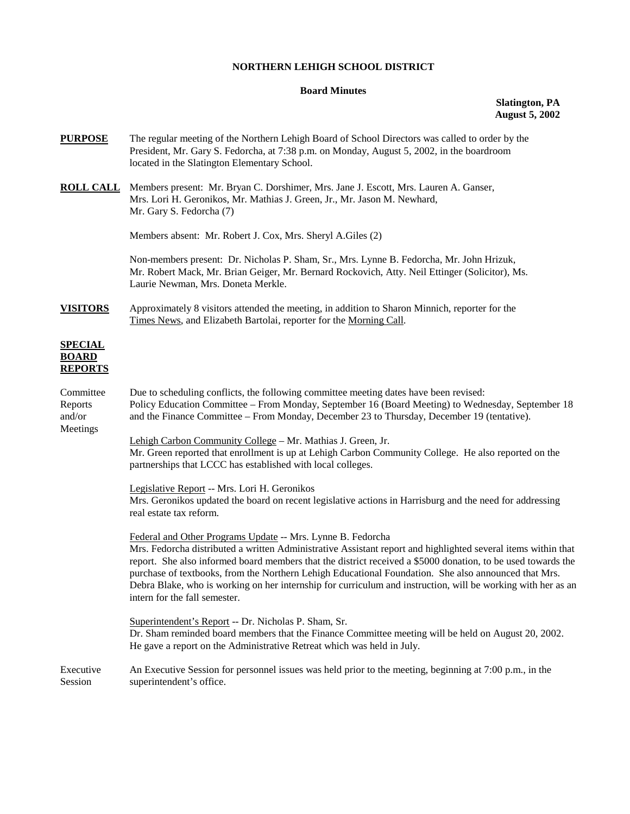## **NORTHERN LEHIGH SCHOOL DISTRICT**

## **Board Minutes**

## **Slatington, PA August 5, 2002**

- **PURPOSE** The regular meeting of the Northern Lehigh Board of School Directors was called to order by the President, Mr. Gary S. Fedorcha, at 7:38 p.m. on Monday, August 5, 2002, in the boardroom located in the Slatington Elementary School.
- **ROLL CALL** Members present: Mr. Bryan C. Dorshimer, Mrs. Jane J. Escott, Mrs. Lauren A. Ganser, Mrs. Lori H. Geronikos, Mr. Mathias J. Green, Jr., Mr. Jason M. Newhard, Mr. Gary S. Fedorcha (7)

Members absent: Mr. Robert J. Cox, Mrs. Sheryl A.Giles (2)

Non-members present: Dr. Nicholas P. Sham, Sr., Mrs. Lynne B. Fedorcha, Mr. John Hrizuk, Mr. Robert Mack, Mr. Brian Geiger, Mr. Bernard Rockovich, Atty. Neil Ettinger (Solicitor), Ms. Laurie Newman, Mrs. Doneta Merkle.

**VISITORS** Approximately 8 visitors attended the meeting, in addition to Sharon Minnich, reporter for the Times News, and Elizabeth Bartolai, reporter for the Morning Call.

# **SPECIAL BOARD REPORTS**

| Committee<br>Reports<br>and/or<br>Meetings | Due to scheduling conflicts, the following committee meeting dates have been revised:<br>Policy Education Committee – From Monday, September 16 (Board Meeting) to Wednesday, September 18<br>and the Finance Committee - From Monday, December 23 to Thursday, December 19 (tentative).                                                                                                                                                                                                                                                              |
|--------------------------------------------|-------------------------------------------------------------------------------------------------------------------------------------------------------------------------------------------------------------------------------------------------------------------------------------------------------------------------------------------------------------------------------------------------------------------------------------------------------------------------------------------------------------------------------------------------------|
|                                            | Lehigh Carbon Community College - Mr. Mathias J. Green, Jr.<br>Mr. Green reported that enrollment is up at Lehigh Carbon Community College. He also reported on the<br>partnerships that LCCC has established with local colleges.                                                                                                                                                                                                                                                                                                                    |
|                                            | Legislative Report -- Mrs. Lori H. Geronikos<br>Mrs. Geronikos updated the board on recent legislative actions in Harrisburg and the need for addressing<br>real estate tax reform.                                                                                                                                                                                                                                                                                                                                                                   |
|                                            | Federal and Other Programs Update -- Mrs. Lynne B. Fedorcha<br>Mrs. Fedorcha distributed a written Administrative Assistant report and highlighted several items within that<br>report. She also informed board members that the district received a \$5000 donation, to be used towards the<br>purchase of textbooks, from the Northern Lehigh Educational Foundation. She also announced that Mrs.<br>Debra Blake, who is working on her internship for curriculum and instruction, will be working with her as an<br>intern for the fall semester. |
|                                            | Superintendent's Report -- Dr. Nicholas P. Sham, Sr.<br>Dr. Sham reminded board members that the Finance Committee meeting will be held on August 20, 2002.<br>He gave a report on the Administrative Retreat which was held in July.                                                                                                                                                                                                                                                                                                                 |
| Executive<br>Session                       | An Executive Session for personnel issues was held prior to the meeting, beginning at 7:00 p.m., in the<br>superintendent's office.                                                                                                                                                                                                                                                                                                                                                                                                                   |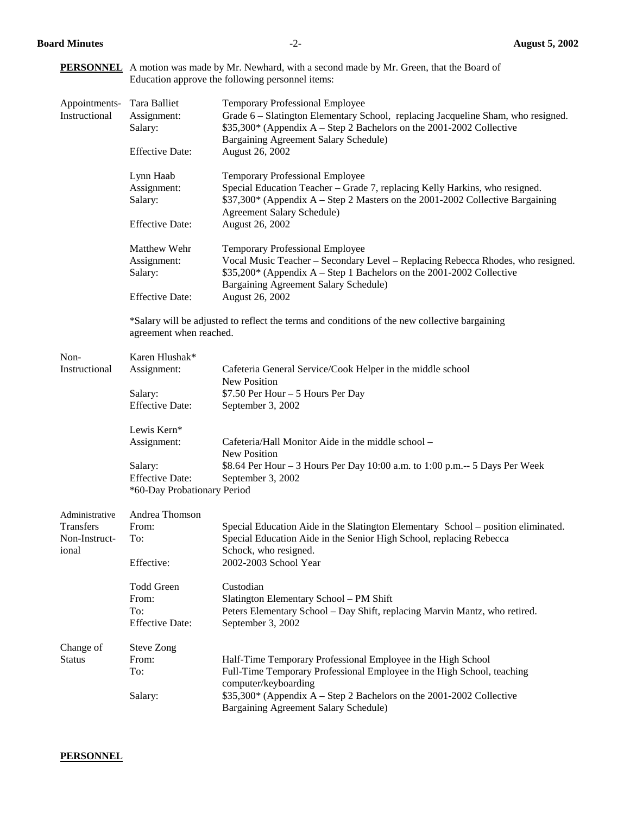## **PERSONNEL** A motion was made by Mr. Newhard, with a second made by Mr. Green, that the Board of Education approve the following personnel items:

|               | Instructional  | Appointments- Tara Balliet<br>Assignment:<br>Salary:<br><b>Effective Date:</b> | <b>Temporary Professional Employee</b><br>Grade 6 - Slatington Elementary School, replacing Jacqueline Sham, who resigned.<br>\$35,300* (Appendix A – Step 2 Bachelors on the 2001-2002 Collective<br>Bargaining Agreement Salary Schedule)<br>August 26, 2002 |
|---------------|----------------|--------------------------------------------------------------------------------|----------------------------------------------------------------------------------------------------------------------------------------------------------------------------------------------------------------------------------------------------------------|
|               |                | Lynn Haab<br>Assignment:<br>Salary:<br><b>Effective Date:</b>                  | <b>Temporary Professional Employee</b><br>Special Education Teacher - Grade 7, replacing Kelly Harkins, who resigned.<br>\$37,300* (Appendix A – Step 2 Masters on the 2001-2002 Collective Bargaining<br>Agreement Salary Schedule)<br>August 26, 2002        |
|               |                | Matthew Wehr<br>Assignment:<br>Salary:<br><b>Effective Date:</b>               | <b>Temporary Professional Employee</b><br>Vocal Music Teacher - Secondary Level - Replacing Rebecca Rhodes, who resigned.<br>$$35,200*$ (Appendix A – Step 1 Bachelors on the 2001-2002 Collective<br>Bargaining Agreement Salary Schedule)<br>August 26, 2002 |
|               |                | agreement when reached.                                                        | *Salary will be adjusted to reflect the terms and conditions of the new collective bargaining                                                                                                                                                                  |
| Non-          | Instructional  | Karen Hlushak*<br>Assignment:                                                  | Cafeteria General Service/Cook Helper in the middle school<br>New Position                                                                                                                                                                                     |
|               |                | Salary:<br><b>Effective Date:</b>                                              | \$7.50 Per Hour - 5 Hours Per Day<br>September 3, 2002                                                                                                                                                                                                         |
|               |                | Lewis Kern*<br>Assignment:                                                     | Cafeteria/Hall Monitor Aide in the middle school –<br><b>New Position</b>                                                                                                                                                                                      |
|               |                | Salary:<br><b>Effective Date:</b><br>*60-Day Probationary Period               | \$8.64 Per Hour – 3 Hours Per Day 10:00 a.m. to 1:00 p.m.— 5 Days Per Week<br>September 3, 2002                                                                                                                                                                |
|               | Administrative | Andrea Thomson                                                                 |                                                                                                                                                                                                                                                                |
| Transfers     |                | From:                                                                          | Special Education Aide in the Slatington Elementary School – position eliminated.                                                                                                                                                                              |
| ional         | Non-Instruct-  | To:<br>Effective:                                                              | Special Education Aide in the Senior High School, replacing Rebecca<br>Schock, who resigned.<br>2002-2003 School Year                                                                                                                                          |
|               |                | <b>Todd Green</b><br>From:<br>To:                                              | Custodian<br>Slatington Elementary School - PM Shift<br>Peters Elementary School - Day Shift, replacing Marvin Mantz, who retired.                                                                                                                             |
|               |                | <b>Effective Date:</b>                                                         | September 3, 2002                                                                                                                                                                                                                                              |
| Change of     |                | <b>Steve Zong</b>                                                              |                                                                                                                                                                                                                                                                |
| <b>Status</b> |                | From:                                                                          | Half-Time Temporary Professional Employee in the High School                                                                                                                                                                                                   |
|               |                | To:<br>Salary:                                                                 | Full-Time Temporary Professional Employee in the High School, teaching<br>computer/keyboarding<br>\$35,300* (Appendix A – Step 2 Bachelors on the 2001-2002 Collective<br>Bargaining Agreement Salary Schedule)                                                |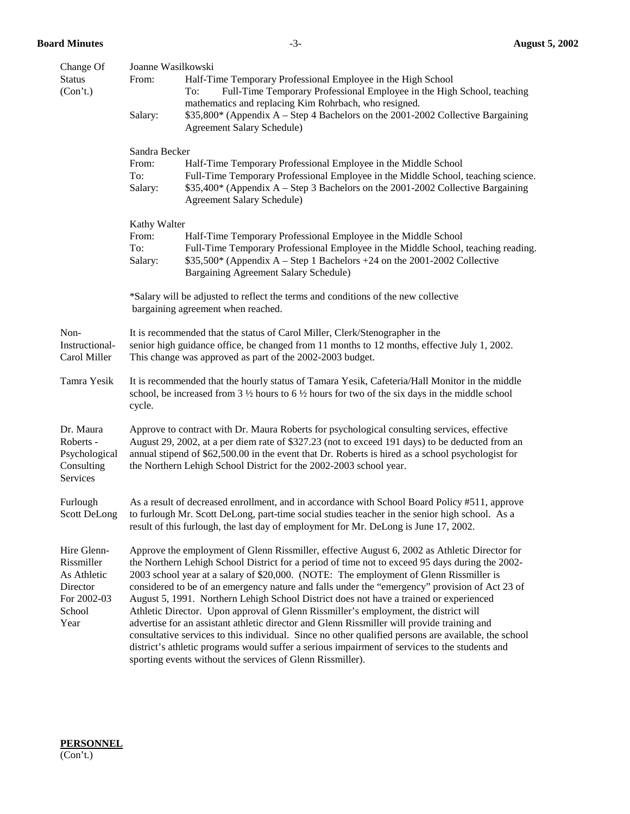| Change Of                                                                             | Joanne Wasilkowski                                                                                                                                                                                                                                                                                                                                                                                                                                                                                                                                                                                                                                                                                                                                                                                                                                                                                                                                    |  |  |  |
|---------------------------------------------------------------------------------------|-------------------------------------------------------------------------------------------------------------------------------------------------------------------------------------------------------------------------------------------------------------------------------------------------------------------------------------------------------------------------------------------------------------------------------------------------------------------------------------------------------------------------------------------------------------------------------------------------------------------------------------------------------------------------------------------------------------------------------------------------------------------------------------------------------------------------------------------------------------------------------------------------------------------------------------------------------|--|--|--|
| <b>Status</b><br>(Con't.)                                                             | From:<br>Half-Time Temporary Professional Employee in the High School<br>To:<br>Full-Time Temporary Professional Employee in the High School, teaching<br>mathematics and replacing Kim Rohrbach, who resigned.                                                                                                                                                                                                                                                                                                                                                                                                                                                                                                                                                                                                                                                                                                                                       |  |  |  |
|                                                                                       | \$35,800* (Appendix A – Step 4 Bachelors on the 2001-2002 Collective Bargaining<br>Salary:<br>Agreement Salary Schedule)                                                                                                                                                                                                                                                                                                                                                                                                                                                                                                                                                                                                                                                                                                                                                                                                                              |  |  |  |
|                                                                                       | Sandra Becker                                                                                                                                                                                                                                                                                                                                                                                                                                                                                                                                                                                                                                                                                                                                                                                                                                                                                                                                         |  |  |  |
|                                                                                       | Half-Time Temporary Professional Employee in the Middle School<br>From:<br>To:<br>Full-Time Temporary Professional Employee in the Middle School, teaching science.<br>\$35,400* (Appendix A – Step 3 Bachelors on the 2001-2002 Collective Bargaining<br>Salary:<br>Agreement Salary Schedule)                                                                                                                                                                                                                                                                                                                                                                                                                                                                                                                                                                                                                                                       |  |  |  |
|                                                                                       | Kathy Walter                                                                                                                                                                                                                                                                                                                                                                                                                                                                                                                                                                                                                                                                                                                                                                                                                                                                                                                                          |  |  |  |
|                                                                                       | From:<br>Half-Time Temporary Professional Employee in the Middle School                                                                                                                                                                                                                                                                                                                                                                                                                                                                                                                                                                                                                                                                                                                                                                                                                                                                               |  |  |  |
|                                                                                       | Full-Time Temporary Professional Employee in the Middle School, teaching reading.<br>To:<br>$$35,500*$ (Appendix A – Step 1 Bachelors +24 on the 2001-2002 Collective<br>Salary:<br>Bargaining Agreement Salary Schedule)                                                                                                                                                                                                                                                                                                                                                                                                                                                                                                                                                                                                                                                                                                                             |  |  |  |
|                                                                                       | *Salary will be adjusted to reflect the terms and conditions of the new collective<br>bargaining agreement when reached.                                                                                                                                                                                                                                                                                                                                                                                                                                                                                                                                                                                                                                                                                                                                                                                                                              |  |  |  |
| Non-<br>Instructional-<br>Carol Miller                                                | It is recommended that the status of Carol Miller, Clerk/Stenographer in the<br>senior high guidance office, be changed from 11 months to 12 months, effective July 1, 2002.<br>This change was approved as part of the 2002-2003 budget.                                                                                                                                                                                                                                                                                                                                                                                                                                                                                                                                                                                                                                                                                                             |  |  |  |
| Tamra Yesik                                                                           | It is recommended that the hourly status of Tamara Yesik, Cafeteria/Hall Monitor in the middle<br>school, be increased from 3 $\frac{1}{2}$ hours to 6 $\frac{1}{2}$ hours for two of the six days in the middle school<br>cycle.                                                                                                                                                                                                                                                                                                                                                                                                                                                                                                                                                                                                                                                                                                                     |  |  |  |
| Dr. Maura<br>Roberts -<br>Psychological<br>Consulting<br>Services                     | Approve to contract with Dr. Maura Roberts for psychological consulting services, effective<br>August 29, 2002, at a per diem rate of \$327.23 (not to exceed 191 days) to be deducted from an<br>annual stipend of \$62,500.00 in the event that Dr. Roberts is hired as a school psychologist for<br>the Northern Lehigh School District for the 2002-2003 school year.                                                                                                                                                                                                                                                                                                                                                                                                                                                                                                                                                                             |  |  |  |
| Furlough<br><b>Scott DeLong</b>                                                       | As a result of decreased enrollment, and in accordance with School Board Policy #511, approve<br>to furlough Mr. Scott DeLong, part-time social studies teacher in the senior high school. As a<br>result of this furlough, the last day of employment for Mr. DeLong is June 17, 2002.                                                                                                                                                                                                                                                                                                                                                                                                                                                                                                                                                                                                                                                               |  |  |  |
| Hire Glenn-<br>Rissmiller<br>As Athletic<br>Director<br>For 2002-03<br>School<br>Year | Approve the employment of Glenn Rissmiller, effective August 6, 2002 as Athletic Director for<br>the Northern Lehigh School District for a period of time not to exceed 95 days during the 2002-<br>2003 school year at a salary of \$20,000. (NOTE: The employment of Glenn Rissmiller is<br>considered to be of an emergency nature and falls under the "emergency" provision of Act 23 of<br>August 5, 1991. Northern Lehigh School District does not have a trained or experienced<br>Athletic Director. Upon approval of Glenn Rissmiller's employment, the district will<br>advertise for an assistant athletic director and Glenn Rissmiller will provide training and<br>consultative services to this individual. Since no other qualified persons are available, the school<br>district's athletic programs would suffer a serious impairment of services to the students and<br>sporting events without the services of Glenn Rissmiller). |  |  |  |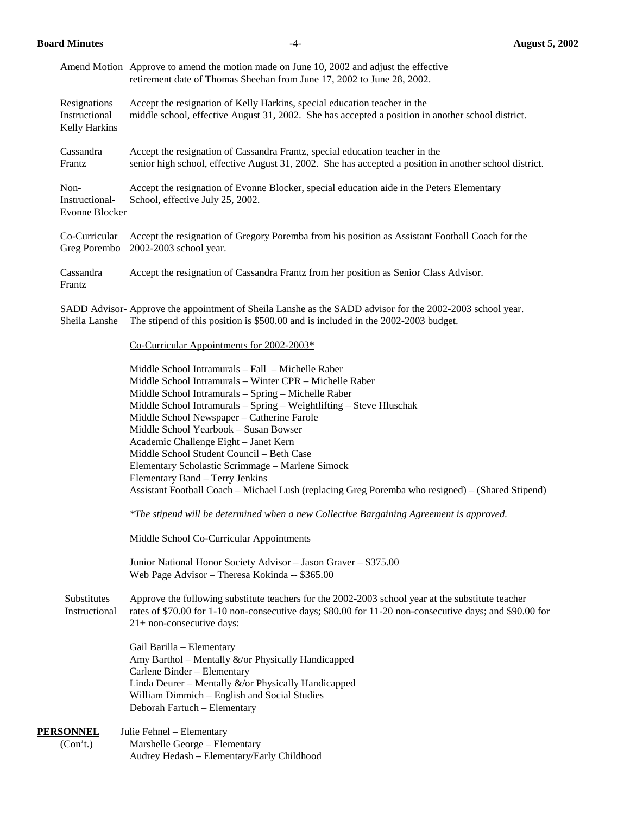|                                                | Amend Motion Approve to amend the motion made on June 10, 2002 and adjust the effective<br>retirement date of Thomas Sheehan from June 17, 2002 to June 28, 2002.                                                                                                                                                                                                                                                                                                                                                                                                                                                  |
|------------------------------------------------|--------------------------------------------------------------------------------------------------------------------------------------------------------------------------------------------------------------------------------------------------------------------------------------------------------------------------------------------------------------------------------------------------------------------------------------------------------------------------------------------------------------------------------------------------------------------------------------------------------------------|
| Resignations<br>Instructional<br>Kelly Harkins | Accept the resignation of Kelly Harkins, special education teacher in the<br>middle school, effective August 31, 2002. She has accepted a position in another school district.                                                                                                                                                                                                                                                                                                                                                                                                                                     |
| Cassandra<br>Frantz                            | Accept the resignation of Cassandra Frantz, special education teacher in the<br>senior high school, effective August 31, 2002. She has accepted a position in another school district.                                                                                                                                                                                                                                                                                                                                                                                                                             |
| Non-<br>Instructional-<br>Evonne Blocker       | Accept the resignation of Evonne Blocker, special education aide in the Peters Elementary<br>School, effective July 25, 2002.                                                                                                                                                                                                                                                                                                                                                                                                                                                                                      |
| Co-Curricular<br>Greg Porembo                  | Accept the resignation of Gregory Poremba from his position as Assistant Football Coach for the<br>2002-2003 school year.                                                                                                                                                                                                                                                                                                                                                                                                                                                                                          |
| Cassandra<br>Frantz                            | Accept the resignation of Cassandra Frantz from her position as Senior Class Advisor.                                                                                                                                                                                                                                                                                                                                                                                                                                                                                                                              |
| Sheila Lanshe                                  | SADD Advisor-Approve the appointment of Sheila Lanshe as the SADD advisor for the 2002-2003 school year.<br>The stipend of this position is \$500.00 and is included in the 2002-2003 budget.                                                                                                                                                                                                                                                                                                                                                                                                                      |
|                                                | Co-Curricular Appointments for 2002-2003*                                                                                                                                                                                                                                                                                                                                                                                                                                                                                                                                                                          |
|                                                | Middle School Intramurals - Fall - Michelle Raber<br>Middle School Intramurals - Winter CPR - Michelle Raber<br>Middle School Intramurals - Spring - Michelle Raber<br>Middle School Intramurals - Spring - Weightlifting - Steve Hluschak<br>Middle School Newspaper - Catherine Farole<br>Middle School Yearbook - Susan Bowser<br>Academic Challenge Eight - Janet Kern<br>Middle School Student Council - Beth Case<br>Elementary Scholastic Scrimmage - Marlene Simock<br>Elementary Band - Terry Jenkins<br>Assistant Football Coach - Michael Lush (replacing Greg Poremba who resigned) - (Shared Stipend) |
|                                                | *The stipend will be determined when a new Collective Bargaining Agreement is approved.                                                                                                                                                                                                                                                                                                                                                                                                                                                                                                                            |
|                                                | <b>Middle School Co-Curricular Appointments</b>                                                                                                                                                                                                                                                                                                                                                                                                                                                                                                                                                                    |
|                                                | Junior National Honor Society Advisor - Jason Graver - \$375.00<br>Web Page Advisor - Theresa Kokinda -- \$365.00                                                                                                                                                                                                                                                                                                                                                                                                                                                                                                  |
| Substitutes<br>Instructional                   | Approve the following substitute teachers for the 2002-2003 school year at the substitute teacher<br>rates of \$70.00 for 1-10 non-consecutive days; \$80.00 for 11-20 non-consecutive days; and \$90.00 for<br>21+ non-consecutive days:                                                                                                                                                                                                                                                                                                                                                                          |
|                                                | Gail Barilla - Elementary<br>Amy Barthol - Mentally &/or Physically Handicapped<br>Carlene Binder - Elementary<br>Linda Deurer - Mentally &/or Physically Handicapped                                                                                                                                                                                                                                                                                                                                                                                                                                              |

**PERSONNEL** Julie Fehnel – Elementary (Con't.) Marshelle George – Elementary Audrey Hedash – Elementary/Early Childhood

Deborah Fartuch – Elementary

William Dimmich – English and Social Studies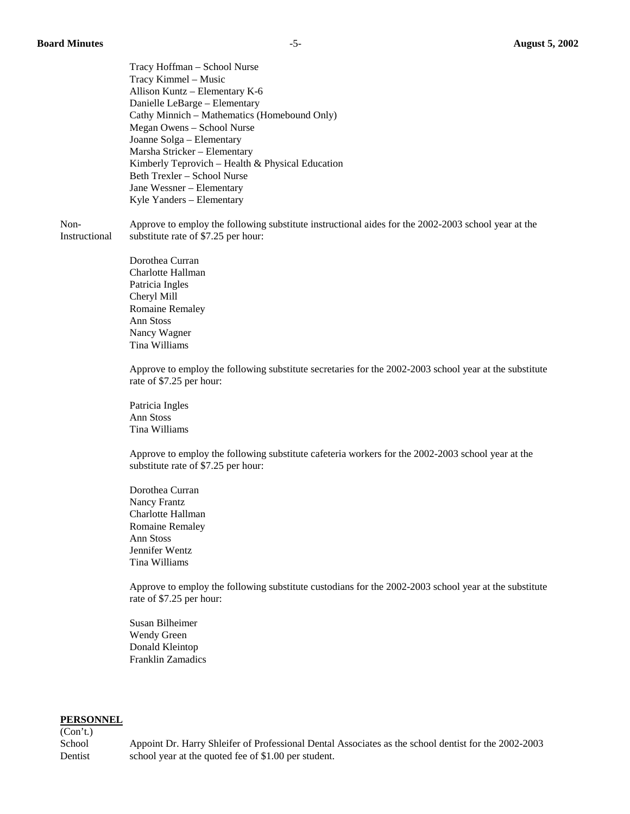Tracy Hoffman – School Nurse Tracy Kimmel – Music Allison Kuntz – Elementary K-6 Danielle LeBarge – Elementary Cathy Minnich – Mathematics (Homebound Only) Megan Owens – School Nurse Joanne Solga – Elementary Marsha Stricker – Elementary Kimberly Teprovich – Health & Physical Education Beth Trexler – School Nurse Jane Wessner – Elementary Kyle Yanders – Elementary

 Non- Approve to employ the following substitute instructional aides for the 2002-2003 school year at the Instructional substitute rate of \$7.25 per hour:

> Dorothea Curran Charlotte Hallman Patricia Ingles Cheryl Mill Romaine Remaley Ann Stoss Nancy Wagner Tina Williams

Approve to employ the following substitute secretaries for the 2002-2003 school year at the substitute rate of \$7.25 per hour:

 Patricia Ingles Ann Stoss Tina Williams

Approve to employ the following substitute cafeteria workers for the 2002-2003 school year at the substitute rate of \$7.25 per hour:

 Dorothea Curran Nancy Frantz Charlotte Hallman Romaine Remaley Ann Stoss Jennifer Wentz Tina Williams

Approve to employ the following substitute custodians for the 2002-2003 school year at the substitute rate of \$7.25 per hour:

 Susan Bilheimer Wendy Green Donald Kleintop Franklin Zamadics

#### **PERSONNEL**

(Con't.)

School Appoint Dr. Harry Shleifer of Professional Dental Associates as the school dentist for the 2002-2003 Dentist school year at the quoted fee of \$1.00 per student.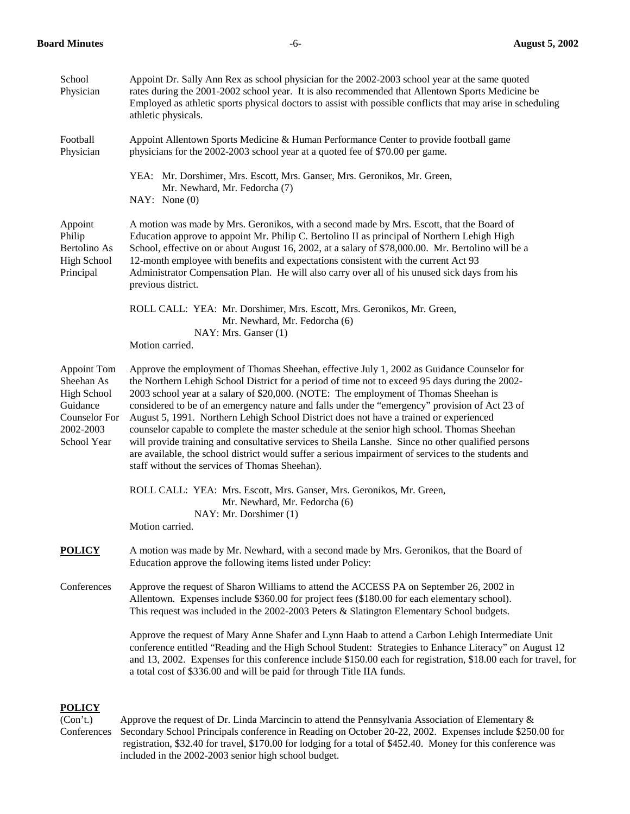| School<br>Physician                                                                                             | Appoint Dr. Sally Ann Rex as school physician for the 2002-2003 school year at the same quoted<br>rates during the 2001-2002 school year. It is also recommended that Allentown Sports Medicine be<br>Employed as a thletic sports physical doctors to assist with possible conflicts that may arise in scheduling<br>athletic physicals.                                                                                                                                                                                                                                                                                                                                                                                                                                                                                                        |
|-----------------------------------------------------------------------------------------------------------------|--------------------------------------------------------------------------------------------------------------------------------------------------------------------------------------------------------------------------------------------------------------------------------------------------------------------------------------------------------------------------------------------------------------------------------------------------------------------------------------------------------------------------------------------------------------------------------------------------------------------------------------------------------------------------------------------------------------------------------------------------------------------------------------------------------------------------------------------------|
| Football<br>Physician                                                                                           | Appoint Allentown Sports Medicine & Human Performance Center to provide football game<br>physicians for the 2002-2003 school year at a quoted fee of \$70.00 per game.                                                                                                                                                                                                                                                                                                                                                                                                                                                                                                                                                                                                                                                                           |
|                                                                                                                 | YEA: Mr. Dorshimer, Mrs. Escott, Mrs. Ganser, Mrs. Geronikos, Mr. Green,<br>Mr. Newhard, Mr. Fedorcha (7)<br>NAY: None(0)                                                                                                                                                                                                                                                                                                                                                                                                                                                                                                                                                                                                                                                                                                                        |
| Appoint<br>Philip<br>Bertolino As<br><b>High School</b><br>Principal                                            | A motion was made by Mrs. Geronikos, with a second made by Mrs. Escott, that the Board of<br>Education approve to appoint Mr. Philip C. Bertolino II as principal of Northern Lehigh High<br>School, effective on or about August 16, 2002, at a salary of \$78,000.00. Mr. Bertolino will be a<br>12-month employee with benefits and expectations consistent with the current Act 93<br>Administrator Compensation Plan. He will also carry over all of his unused sick days from his<br>previous district.                                                                                                                                                                                                                                                                                                                                    |
|                                                                                                                 | ROLL CALL: YEA: Mr. Dorshimer, Mrs. Escott, Mrs. Geronikos, Mr. Green,<br>Mr. Newhard, Mr. Fedorcha (6)<br>NAY: Mrs. Ganser (1)<br>Motion carried.                                                                                                                                                                                                                                                                                                                                                                                                                                                                                                                                                                                                                                                                                               |
| Appoint Tom<br>Sheehan As<br><b>High School</b><br>Guidance<br><b>Counselor For</b><br>2002-2003<br>School Year | Approve the employment of Thomas Sheehan, effective July 1, 2002 as Guidance Counselor for<br>the Northern Lehigh School District for a period of time not to exceed 95 days during the 2002-<br>2003 school year at a salary of \$20,000. (NOTE: The employment of Thomas Sheehan is<br>considered to be of an emergency nature and falls under the "emergency" provision of Act 23 of<br>August 5, 1991. Northern Lehigh School District does not have a trained or experienced<br>counselor capable to complete the master schedule at the senior high school. Thomas Sheehan<br>will provide training and consultative services to Sheila Lanshe. Since no other qualified persons<br>are available, the school district would suffer a serious impairment of services to the students and<br>staff without the services of Thomas Sheehan). |
|                                                                                                                 | ROLL CALL: YEA: Mrs. Escott, Mrs. Ganser, Mrs. Geronikos, Mr. Green,<br>Mr. Newhard, Mr. Fedorcha (6)<br>NAY: Mr. Dorshimer (1)<br>Motion carried.                                                                                                                                                                                                                                                                                                                                                                                                                                                                                                                                                                                                                                                                                               |
| <b>POLICY</b>                                                                                                   | A motion was made by Mr. Newhard, with a second made by Mrs. Geronikos, that the Board of<br>Education approve the following items listed under Policy:                                                                                                                                                                                                                                                                                                                                                                                                                                                                                                                                                                                                                                                                                          |
| Conferences                                                                                                     | Approve the request of Sharon Williams to attend the ACCESS PA on September 26, 2002 in<br>Allentown. Expenses include \$360.00 for project fees (\$180.00 for each elementary school).<br>This request was included in the 2002-2003 Peters & Slatington Elementary School budgets.                                                                                                                                                                                                                                                                                                                                                                                                                                                                                                                                                             |
|                                                                                                                 | Approve the request of Mary Anne Shafer and Lynn Haab to attend a Carbon Lehigh Intermediate Unit<br>conference entitled "Reading and the High School Student: Strategies to Enhance Literacy" on August 12<br>and 13, 2002. Expenses for this conference include \$150.00 each for registration, \$18.00 each for travel, for<br>a total cost of \$336.00 and will be paid for through Title IIA funds.                                                                                                                                                                                                                                                                                                                                                                                                                                         |
|                                                                                                                 |                                                                                                                                                                                                                                                                                                                                                                                                                                                                                                                                                                                                                                                                                                                                                                                                                                                  |

# **POLICY**

(Con't.) Approve the request of Dr. Linda Marcincin to attend the Pennsylvania Association of Elementary & Conferences Secondary School Principals conference in Reading on October 20-22, 2002. Expenses include \$250.00 for registration, \$32.40 for travel, \$170.00 for lodging for a total of \$452.40. Money for this conference was included in the 2002-2003 senior high school budget.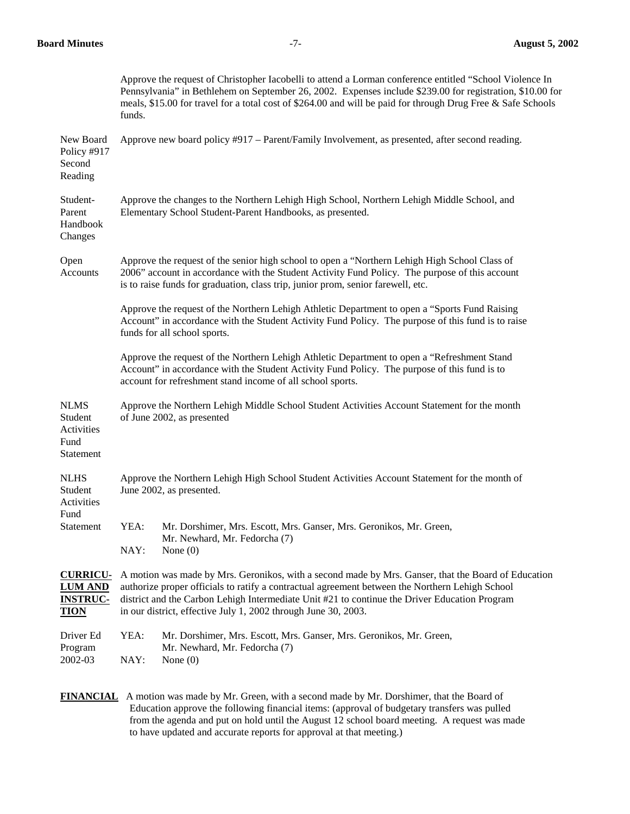## **Board Minutes** -7- **August 5, 2002**

|                                                                     | Approve the request of Christopher Iacobelli to attend a Lorman conference entitled "School Violence In<br>Pennsylvania" in Bethlehem on September 26, 2002. Expenses include \$239.00 for registration, \$10.00 for<br>meals, \$15.00 for travel for a total cost of \$264.00 and will be paid for through Drug Free & Safe Schools<br>funds.                            |
|---------------------------------------------------------------------|---------------------------------------------------------------------------------------------------------------------------------------------------------------------------------------------------------------------------------------------------------------------------------------------------------------------------------------------------------------------------|
| New Board<br>Policy #917<br>Second<br>Reading                       | Approve new board policy #917 – Parent/Family Involvement, as presented, after second reading.                                                                                                                                                                                                                                                                            |
| Student-<br>Parent<br>Handbook<br>Changes                           | Approve the changes to the Northern Lehigh High School, Northern Lehigh Middle School, and<br>Elementary School Student-Parent Handbooks, as presented.                                                                                                                                                                                                                   |
| Open<br>Accounts                                                    | Approve the request of the senior high school to open a "Northern Lehigh High School Class of<br>2006" account in accordance with the Student Activity Fund Policy. The purpose of this account<br>is to raise funds for graduation, class trip, junior prom, senior farewell, etc.                                                                                       |
|                                                                     | Approve the request of the Northern Lehigh Athletic Department to open a "Sports Fund Raising<br>Account" in accordance with the Student Activity Fund Policy. The purpose of this fund is to raise<br>funds for all school sports.                                                                                                                                       |
|                                                                     | Approve the request of the Northern Lehigh Athletic Department to open a "Refreshment Stand<br>Account" in accordance with the Student Activity Fund Policy. The purpose of this fund is to<br>account for refreshment stand income of all school sports.                                                                                                                 |
| <b>NLMS</b><br>Student<br>Activities<br>Fund<br>Statement           | Approve the Northern Lehigh Middle School Student Activities Account Statement for the month<br>of June 2002, as presented                                                                                                                                                                                                                                                |
| <b>NLHS</b><br>Student<br>Activities<br>Fund                        | Approve the Northern Lehigh High School Student Activities Account Statement for the month of<br>June 2002, as presented.                                                                                                                                                                                                                                                 |
| Statement                                                           | YEA:<br>Mr. Dorshimer, Mrs. Escott, Mrs. Ganser, Mrs. Geronikos, Mr. Green,<br>Mr. Newhard, Mr. Fedorcha (7)<br>NAY:<br>None $(0)$                                                                                                                                                                                                                                        |
| <b>CURRICU-</b><br><b>LUM AND</b><br><b>INSTRUC-</b><br><b>TION</b> | A motion was made by Mrs. Geronikos, with a second made by Mrs. Ganser, that the Board of Education<br>authorize proper officials to ratify a contractual agreement between the Northern Lehigh School<br>district and the Carbon Lehigh Intermediate Unit #21 to continue the Driver Education Program<br>in our district, effective July 1, 2002 through June 30, 2003. |
| Driver Ed<br>Program<br>2002-03                                     | YEA:<br>Mr. Dorshimer, Mrs. Escott, Mrs. Ganser, Mrs. Geronikos, Mr. Green,<br>Mr. Newhard, Mr. Fedorcha (7)<br>NAY:<br>None $(0)$                                                                                                                                                                                                                                        |

 **FINANCIAL** A motion was made by Mr. Green, with a second made by Mr. Dorshimer, that the Board of Education approve the following financial items: (approval of budgetary transfers was pulled from the agenda and put on hold until the August 12 school board meeting. A request was made to have updated and accurate reports for approval at that meeting.)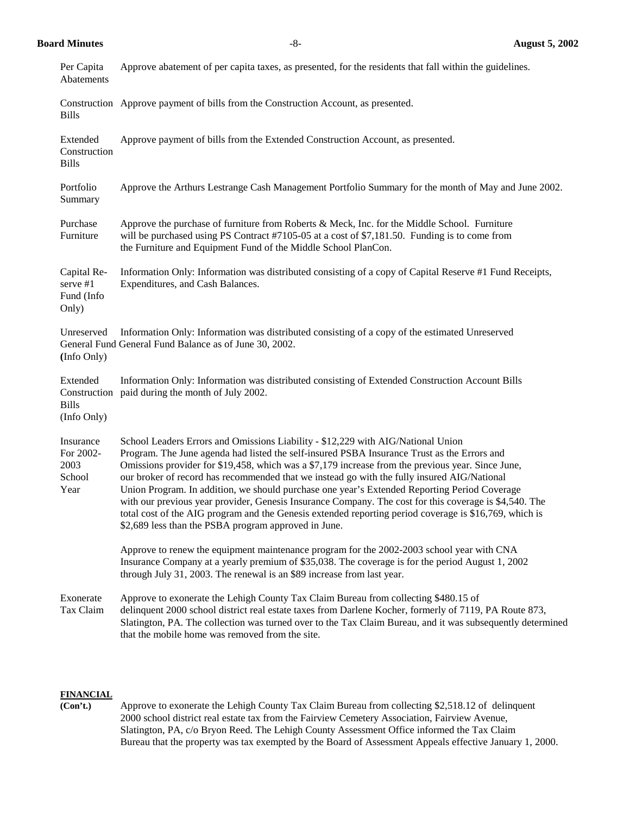**Board Minutes** -8- **August 5, 2002** 

| Per Capita<br>Abatements                         | Approve abatement of per capita taxes, as presented, for the residents that fall within the guidelines.                                                                                                                                                                                                                                                                                                                                                                                                                                                                                                                                                                                                                                                         |
|--------------------------------------------------|-----------------------------------------------------------------------------------------------------------------------------------------------------------------------------------------------------------------------------------------------------------------------------------------------------------------------------------------------------------------------------------------------------------------------------------------------------------------------------------------------------------------------------------------------------------------------------------------------------------------------------------------------------------------------------------------------------------------------------------------------------------------|
| <b>Bills</b>                                     | Construction Approve payment of bills from the Construction Account, as presented.                                                                                                                                                                                                                                                                                                                                                                                                                                                                                                                                                                                                                                                                              |
| Extended<br>Construction<br><b>Bills</b>         | Approve payment of bills from the Extended Construction Account, as presented.                                                                                                                                                                                                                                                                                                                                                                                                                                                                                                                                                                                                                                                                                  |
| Portfolio<br>Summary                             | Approve the Arthurs Lestrange Cash Management Portfolio Summary for the month of May and June 2002.                                                                                                                                                                                                                                                                                                                                                                                                                                                                                                                                                                                                                                                             |
| Purchase<br>Furniture                            | Approve the purchase of furniture from Roberts & Meck, Inc. for the Middle School. Furniture<br>will be purchased using PS Contract #7105-05 at a cost of \$7,181.50. Funding is to come from<br>the Furniture and Equipment Fund of the Middle School PlanCon.                                                                                                                                                                                                                                                                                                                                                                                                                                                                                                 |
| Capital Re-<br>serve #1<br>Fund (Info<br>Only)   | Information Only: Information was distributed consisting of a copy of Capital Reserve #1 Fund Receipts,<br>Expenditures, and Cash Balances.                                                                                                                                                                                                                                                                                                                                                                                                                                                                                                                                                                                                                     |
| Unreserved<br>(Info Only)                        | Information Only: Information was distributed consisting of a copy of the estimated Unreserved<br>General Fund General Fund Balance as of June 30, 2002.                                                                                                                                                                                                                                                                                                                                                                                                                                                                                                                                                                                                        |
| Extended<br><b>Bills</b><br>(Info Only)          | Information Only: Information was distributed consisting of Extended Construction Account Bills<br>Construction paid during the month of July 2002.                                                                                                                                                                                                                                                                                                                                                                                                                                                                                                                                                                                                             |
| Insurance<br>For 2002-<br>2003<br>School<br>Year | School Leaders Errors and Omissions Liability - \$12,229 with AIG/National Union<br>Program. The June agenda had listed the self-insured PSBA Insurance Trust as the Errors and<br>Omissions provider for \$19,458, which was a \$7,179 increase from the previous year. Since June,<br>our broker of record has recommended that we instead go with the fully insured AIG/National<br>Union Program. In addition, we should purchase one year's Extended Reporting Period Coverage<br>with our previous year provider, Genesis Insurance Company. The cost for this coverage is \$4,540. The<br>total cost of the AIG program and the Genesis extended reporting period coverage is \$16,769, which is<br>\$2,689 less than the PSBA program approved in June. |
|                                                  | Approve to renew the equipment maintenance program for the 2002-2003 school year with CNA<br>Insurance Company at a yearly premium of \$35,038. The coverage is for the period August 1, 2002<br>through July 31, 2003. The renewal is an \$89 increase from last year.                                                                                                                                                                                                                                                                                                                                                                                                                                                                                         |
| Exonerate<br>Tax Claim                           | Approve to exonerate the Lehigh County Tax Claim Bureau from collecting \$480.15 of<br>delinquent 2000 school district real estate taxes from Darlene Kocher, formerly of 7119, PA Route 873,<br>Slatington, PA. The collection was turned over to the Tax Claim Bureau, and it was subsequently determined<br>that the mobile home was removed from the site.                                                                                                                                                                                                                                                                                                                                                                                                  |

## **FINANCIAL**

 **(Con't.)** Approve to exonerate the Lehigh County Tax Claim Bureau from collecting \$2,518.12 of delinquent 2000 school district real estate tax from the Fairview Cemetery Association, Fairview Avenue, Slatington, PA, c/o Bryon Reed. The Lehigh County Assessment Office informed the Tax Claim Bureau that the property was tax exempted by the Board of Assessment Appeals effective January 1, 2000.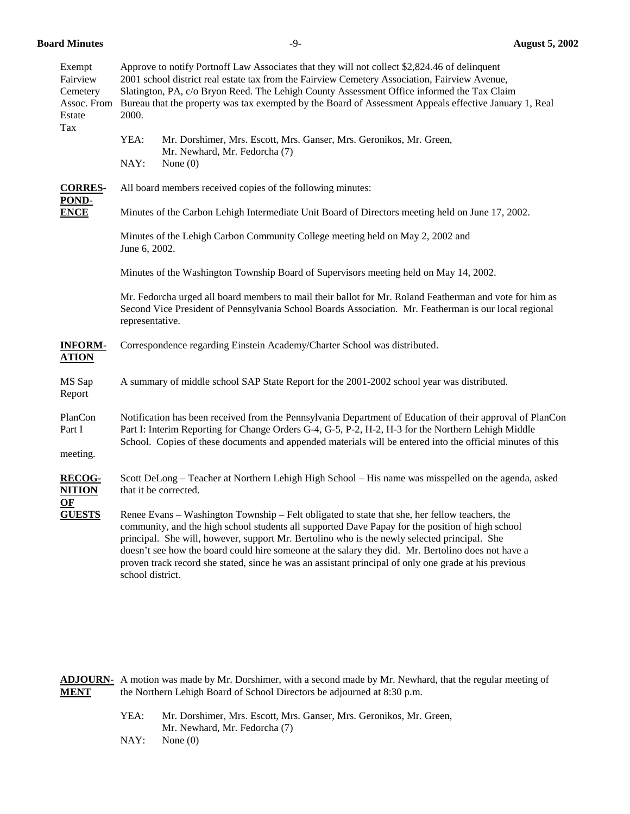**Board Minutes** -9- **August 5, 2002** 

| Exempt<br>Fairview<br>Cemetery<br>Estate | Approve to notify Portnoff Law Associates that they will not collect \$2,824.46 of delinquent<br>2001 school district real estate tax from the Fairview Cemetery Association, Fairview Avenue,<br>Slatington, PA, c/o Bryon Reed. The Lehigh County Assessment Office informed the Tax Claim<br>Assoc. From Bureau that the property was tax exempted by the Board of Assessment Appeals effective January 1, Real<br>2000.                                                                                                           |  |  |
|------------------------------------------|---------------------------------------------------------------------------------------------------------------------------------------------------------------------------------------------------------------------------------------------------------------------------------------------------------------------------------------------------------------------------------------------------------------------------------------------------------------------------------------------------------------------------------------|--|--|
| Tax                                      | YEA:<br>Mr. Dorshimer, Mrs. Escott, Mrs. Ganser, Mrs. Geronikos, Mr. Green,<br>Mr. Newhard, Mr. Fedorcha (7)<br>NAY:<br>None $(0)$                                                                                                                                                                                                                                                                                                                                                                                                    |  |  |
| <b>CORRES-</b><br>POND-<br><b>ENCE</b>   | All board members received copies of the following minutes:                                                                                                                                                                                                                                                                                                                                                                                                                                                                           |  |  |
|                                          | Minutes of the Carbon Lehigh Intermediate Unit Board of Directors meeting held on June 17, 2002.                                                                                                                                                                                                                                                                                                                                                                                                                                      |  |  |
|                                          | Minutes of the Lehigh Carbon Community College meeting held on May 2, 2002 and<br>June 6, 2002.                                                                                                                                                                                                                                                                                                                                                                                                                                       |  |  |
|                                          | Minutes of the Washington Township Board of Supervisors meeting held on May 14, 2002.                                                                                                                                                                                                                                                                                                                                                                                                                                                 |  |  |
|                                          | Mr. Fedorcha urged all board members to mail their ballot for Mr. Roland Featherman and vote for him as<br>Second Vice President of Pennsylvania School Boards Association. Mr. Featherman is our local regional<br>representative.                                                                                                                                                                                                                                                                                                   |  |  |
| <b>INFORM-</b><br><b>ATION</b>           | Correspondence regarding Einstein Academy/Charter School was distributed.                                                                                                                                                                                                                                                                                                                                                                                                                                                             |  |  |
| MS Sap<br>Report                         | A summary of middle school SAP State Report for the 2001-2002 school year was distributed.                                                                                                                                                                                                                                                                                                                                                                                                                                            |  |  |
| PlanCon<br>Part I<br>meeting.            | Notification has been received from the Pennsylvania Department of Education of their approval of PlanCon<br>Part I: Interim Reporting for Change Orders G-4, G-5, P-2, H-2, H-3 for the Northern Lehigh Middle<br>School. Copies of these documents and appended materials will be entered into the official minutes of this                                                                                                                                                                                                         |  |  |
| <b>RECOG-</b><br><b>NITION</b><br>OF     | Scott DeLong – Teacher at Northern Lehigh High School – His name was misspelled on the agenda, asked<br>that it be corrected.                                                                                                                                                                                                                                                                                                                                                                                                         |  |  |
| <b>GUESTS</b>                            | Renee Evans – Washington Township – Felt obligated to state that she, her fellow teachers, the<br>community, and the high school students all supported Dave Papay for the position of high school<br>principal. She will, however, support Mr. Bertolino who is the newly selected principal. She<br>doesn't see how the board could hire someone at the salary they did. Mr. Bertolino does not have a<br>proven track record she stated, since he was an assistant principal of only one grade at his previous<br>school district. |  |  |

**ADJOURN-** A motion was made by Mr. Dorshimer, with a second made by Mr. Newhard, that the regular meeting of **MENT** the Northern Lehigh Board of School Directors be adjourned at 8:30 p.m.

- YEA: Mr. Dorshimer, Mrs. Escott, Mrs. Ganser, Mrs. Geronikos, Mr. Green, Mr. Newhard, Mr. Fedorcha (7)
- NAY: None (0)